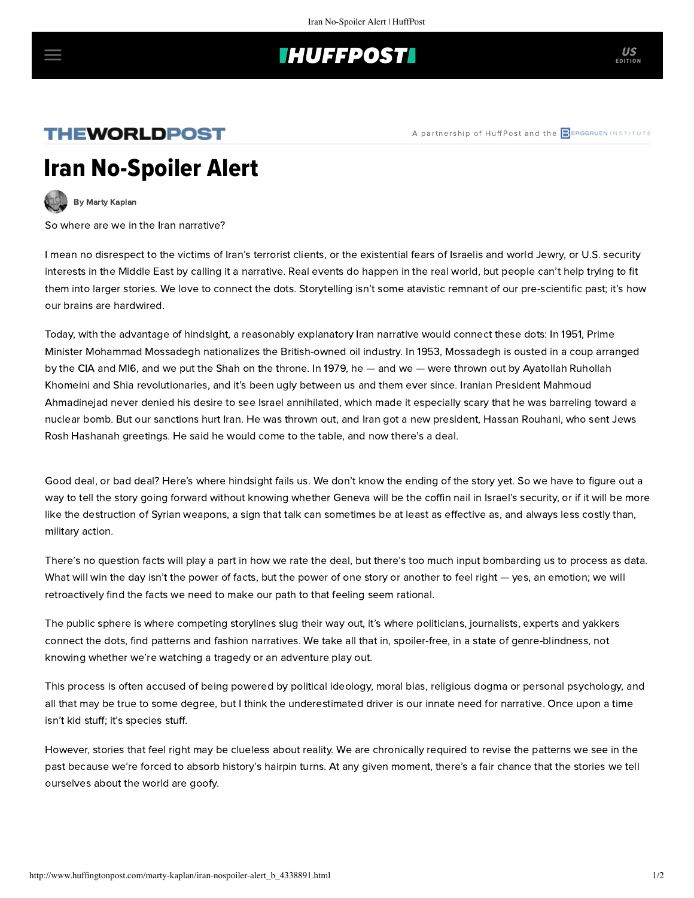## **THUFFPOST**

## THEWORLDPOST

A partnership of HuffPost and the **B**ERGGRUENINSTITUTE

## Iran No-Spoiler Alert



By Marty Kaplan

So where are we in the Iran narrative?

I mean no disrespect to the victims of Iran's terrorist clients, or the existential fears of Israelis and world Jewry, or U.S. security interests in the Middle East by calling it a narrative. Real events do happen in the real world, but people can't helptrying to [fi](http://adinfo.aol.com/)t [them into larger stories. We love to co](http://www.huffingtonpost.com/section/theworldpost)nnect the dots. Storytelling isn't some atavistic remnant of our pre-scie[ntific past; it's how](http://berggruen.org/) our brains are hardwired.

Today, with the advantage of hindsight, a reasonably explanatory Iran narrative would connect these dots: In 1951, Prime [Minister Mohammad](http://www.huffingtonpost.com/author/marty-kaplan) Mossadegh nationalizes the British-owned oil industry. In 1953, Mossadegh is ousted in a coup arranged by the CIA and MI6, and we put the Shah on the throne. In 1979, he — and we — were thrown out by Ayatollah Ruhollah Khomeini and Shia revolutionaries, and it's been ugly between us and them ever since. Iranian President Mahmoud Ahmadinejad never denied his desire to see Israel annihilated, which made it especially scary that he was barreling toward a nuclear bomb. But our sanctions hurt Iran. He was thrown out, and Iran got a new president, Hassan Rouhani, who sent Jews Rosh Hashanah greetings. He said he would come to the table, and now there's a deal.

Good deal, or bad deal? Here's where hindsight fails us. We don't know the ending of the story yet. So we have to figure out a way to tell the story going forward without knowing whether Geneva will be the coffin nail in Israel's security, or if it will be more like the destruction of Syrian weapons, a sign that talk can sometimes be at least as effective as, and always less costly than, military action.

There's no question facts will play a part in how we rate the deal, but there's too much input bombarding us to process as data. What will win the day isn't the power of facts, but the power of one story or another to feel right — yes, an emotion; we will retroactively find the facts we need to make our path to that feeling seem rational.

The public sphere is where competing storylines slug their way out, it's where politicians, journalists, experts and yakkers connect the dots, find patterns and fashion narratives. We take all that in, spoiler-free, in a state of genre-blindness, not knowing whether we're watching a tragedy or an adventure play out.

This process is often accused of being powered by political ideology, moral bias, religious dogma or personal psychology, and all that may be true to some degree, but I think the underestimated driver is our innate need for narrative. Once upon a time isn't kid stuff; it's species stuff.

However, stories that feel right may be clueless about reality. We are chronically required to revise the patterns we see in the past because we're forced to absorb history's hairpin turns. At any given moment, there's a fair chance that the stories we tell ourselves about the world are goofy.